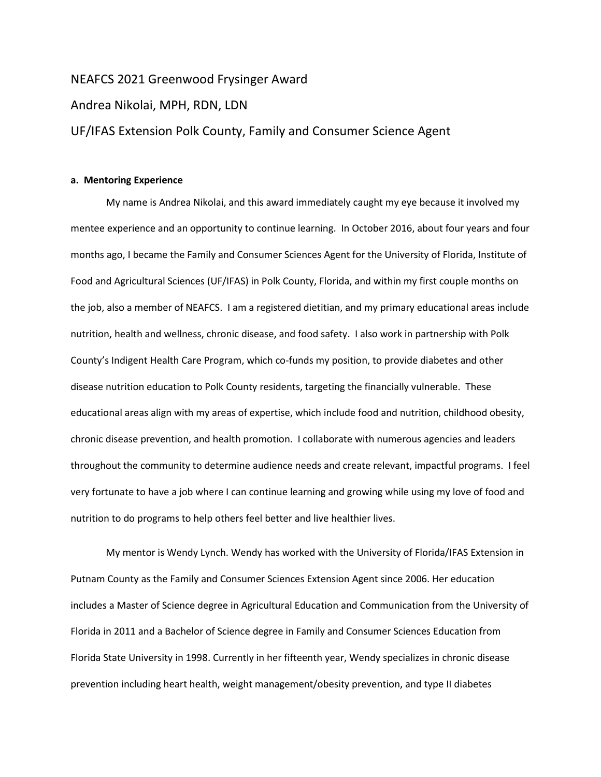# NEAFCS 2021 Greenwood Frysinger Award

## Andrea Nikolai, MPH, RDN, LDN

# UF/IFAS Extension Polk County, Family and Consumer Science Agent

## **a. Mentoring Experience**

My name is Andrea Nikolai, and this award immediately caught my eye because it involved my mentee experience and an opportunity to continue learning. In October 2016, about four years and four months ago, I became the Family and Consumer Sciences Agent for the University of Florida, Institute of Food and Agricultural Sciences (UF/IFAS) in Polk County, Florida, and within my first couple months on the job, also a member of NEAFCS. I am a registered dietitian, and my primary educational areas include nutrition, health and wellness, chronic disease, and food safety. I also work in partnership with Polk County's Indigent Health Care Program, which co-funds my position, to provide diabetes and other disease nutrition education to Polk County residents, targeting the financially vulnerable. These educational areas align with my areas of expertise, which include food and nutrition, childhood obesity, chronic disease prevention, and health promotion. I collaborate with numerous agencies and leaders throughout the community to determine audience needs and create relevant, impactful programs. I feel very fortunate to have a job where I can continue learning and growing while using my love of food and nutrition to do programs to help others feel better and live healthier lives.

My mentor is Wendy Lynch. Wendy has worked with the University of Florida/IFAS Extension in Putnam County as the Family and Consumer Sciences Extension Agent since 2006. Her education includes a Master of Science degree in Agricultural Education and Communication from the University of Florida in 2011 and a Bachelor of Science degree in Family and Consumer Sciences Education from Florida State University in 1998. Currently in her fifteenth year, Wendy specializes in chronic disease prevention including heart health, weight management/obesity prevention, and type II diabetes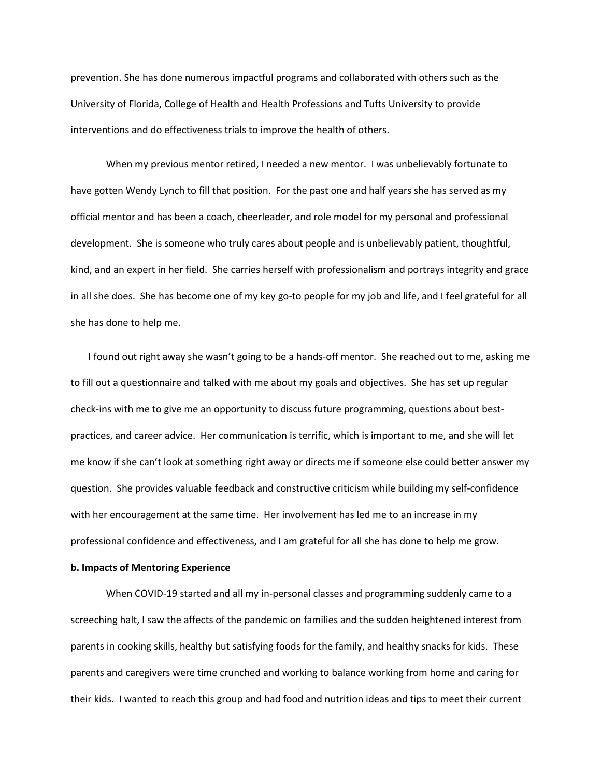prevention. She has done numerous impactful programs and collaborated with others such as the University of Florida, College of Health and Health Professions and Tufts University to provide interventions and do effectiveness trials to improve the health of others.

When my previous mentor retired, I needed a new mentor. I was unbelievably fortunate to have gotten Wendy Lynch to fill that position. For the past one and half years she has served as my official mentor and has been a coach, cheerleader, and role model for my personal and professional development. She is someone who truly cares about people and is unbelievably patient, thoughtful, kind, and an expert in her field. She carries herself with professionalism and portrays integrity and grace in all she does. She has become one of my key go-to people for my job and life, and I feel grateful for all she has done to help me.

I found out right away she wasn't going to be a hands-off mentor. She reached out to me, asking me to fill out a questionnaire and talked with me about my goals and objectives. She has set up regular check-ins with me to give me an opportunity to discuss future programming, questions about bestpractices, and career advice. Her communication is terrific, which is important to me, and she will let me know if she can't look at something right away or directs me if someone else could better answer my question. She provides valuable feedback and constructive criticism while building my self-confidence with her encouragement at the same time. Her involvement has led me to an increase in my professional confidence and effectiveness, and I am grateful for all she has done to help me grow.

#### **b. Impacts of Mentoring Experience**

When COVID-19 started and all my in-personal classes and programming suddenly came to a screeching halt, I saw the affects of the pandemic on families and the sudden heightened interest from parents in cooking skills, healthy but satisfying foods for the family, and healthy snacks for kids. These parents and caregivers were time crunched and working to balance working from home and caring for their kids. I wanted to reach this group and had food and nutrition ideas and tips to meet their current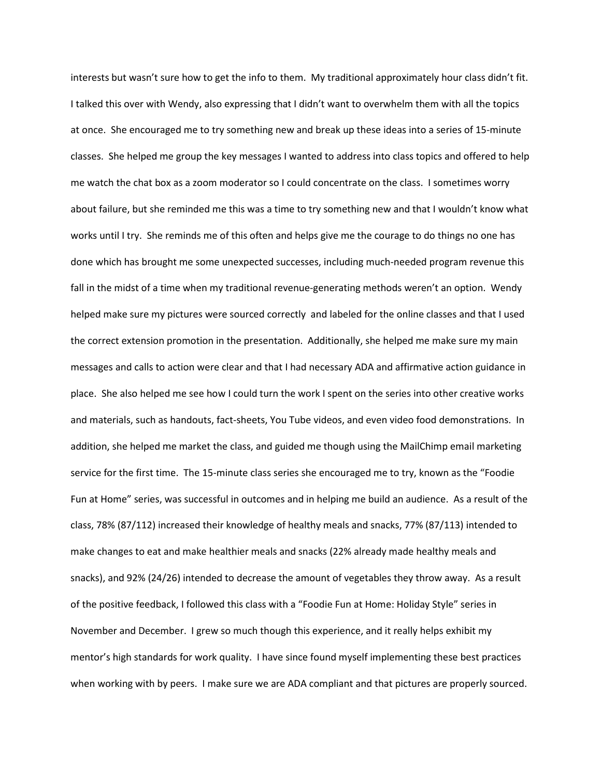interests but wasn't sure how to get the info to them. My traditional approximately hour class didn't fit. I talked this over with Wendy, also expressing that I didn't want to overwhelm them with all the topics at once. She encouraged me to try something new and break up these ideas into a series of 15-minute classes. She helped me group the key messages I wanted to address into class topics and offered to help me watch the chat box as a zoom moderator so I could concentrate on the class. I sometimes worry about failure, but she reminded me this was a time to try something new and that I wouldn't know what works until I try. She reminds me of this often and helps give me the courage to do things no one has done which has brought me some unexpected successes, including much-needed program revenue this fall in the midst of a time when my traditional revenue-generating methods weren't an option. Wendy helped make sure my pictures were sourced correctly and labeled for the online classes and that I used the correct extension promotion in the presentation. Additionally, she helped me make sure my main messages and calls to action were clear and that I had necessary ADA and affirmative action guidance in place. She also helped me see how I could turn the work I spent on the series into other creative works and materials, such as handouts, fact-sheets, You Tube videos, and even video food demonstrations. In addition, she helped me market the class, and guided me though using the MailChimp email marketing service for the first time. The 15-minute class series she encouraged me to try, known as the "Foodie Fun at Home" series, was successful in outcomes and in helping me build an audience. As a result of the class, 78% (87/112) increased their knowledge of healthy meals and snacks, 77% (87/113) intended to make changes to eat and make healthier meals and snacks (22% already made healthy meals and snacks), and 92% (24/26) intended to decrease the amount of vegetables they throw away. As a result of the positive feedback, I followed this class with a "Foodie Fun at Home: Holiday Style" series in November and December. I grew so much though this experience, and it really helps exhibit my mentor's high standards for work quality. I have since found myself implementing these best practices when working with by peers. I make sure we are ADA compliant and that pictures are properly sourced.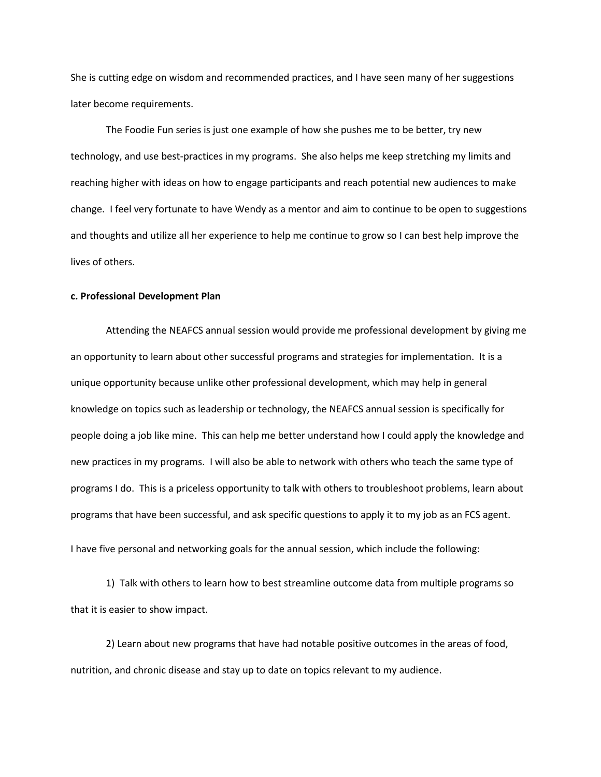She is cutting edge on wisdom and recommended practices, and I have seen many of her suggestions later become requirements.

The Foodie Fun series is just one example of how she pushes me to be better, try new technology, and use best-practices in my programs. She also helps me keep stretching my limits and reaching higher with ideas on how to engage participants and reach potential new audiences to make change. I feel very fortunate to have Wendy as a mentor and aim to continue to be open to suggestions and thoughts and utilize all her experience to help me continue to grow so I can best help improve the lives of others.

### **c. Professional Development Plan**

Attending the NEAFCS annual session would provide me professional development by giving me an opportunity to learn about other successful programs and strategies for implementation. It is a unique opportunity because unlike other professional development, which may help in general knowledge on topics such as leadership or technology, the NEAFCS annual session is specifically for people doing a job like mine. This can help me better understand how I could apply the knowledge and new practices in my programs. I will also be able to network with others who teach the same type of programs I do. This is a priceless opportunity to talk with others to troubleshoot problems, learn about programs that have been successful, and ask specific questions to apply it to my job as an FCS agent. I have five personal and networking goals for the annual session, which include the following:

1) Talk with others to learn how to best streamline outcome data from multiple programs so that it is easier to show impact.

2) Learn about new programs that have had notable positive outcomes in the areas of food, nutrition, and chronic disease and stay up to date on topics relevant to my audience.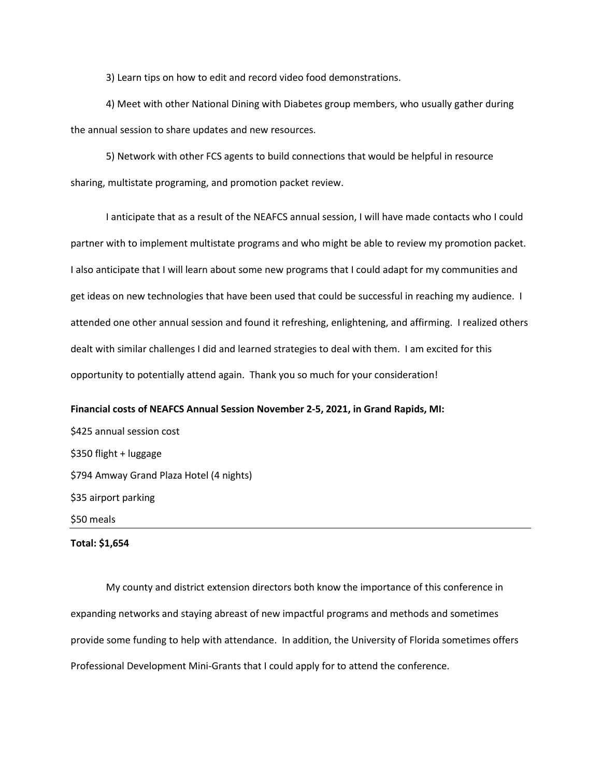3) Learn tips on how to edit and record video food demonstrations.

4) Meet with other National Dining with Diabetes group members, who usually gather during the annual session to share updates and new resources.

5) Network with other FCS agents to build connections that would be helpful in resource sharing, multistate programing, and promotion packet review.

I anticipate that as a result of the NEAFCS annual session, I will have made contacts who I could partner with to implement multistate programs and who might be able to review my promotion packet. I also anticipate that I will learn about some new programs that I could adapt for my communities and get ideas on new technologies that have been used that could be successful in reaching my audience. I attended one other annual session and found it refreshing, enlightening, and affirming. I realized others dealt with similar challenges I did and learned strategies to deal with them. I am excited for this opportunity to potentially attend again. Thank you so much for your consideration!

# **Financial costs of NEAFCS Annual Session November 2-5, 2021, in Grand Rapids, MI:** \$425 annual session cost \$350 flight + luggage \$794 Amway Grand Plaza Hotel (4 nights) \$35 airport parking

\$50 meals

#### **Total: \$1,654**

My county and district extension directors both know the importance of this conference in expanding networks and staying abreast of new impactful programs and methods and sometimes provide some funding to help with attendance. In addition, the University of Florida sometimes offers Professional Development Mini-Grants that I could apply for to attend the conference.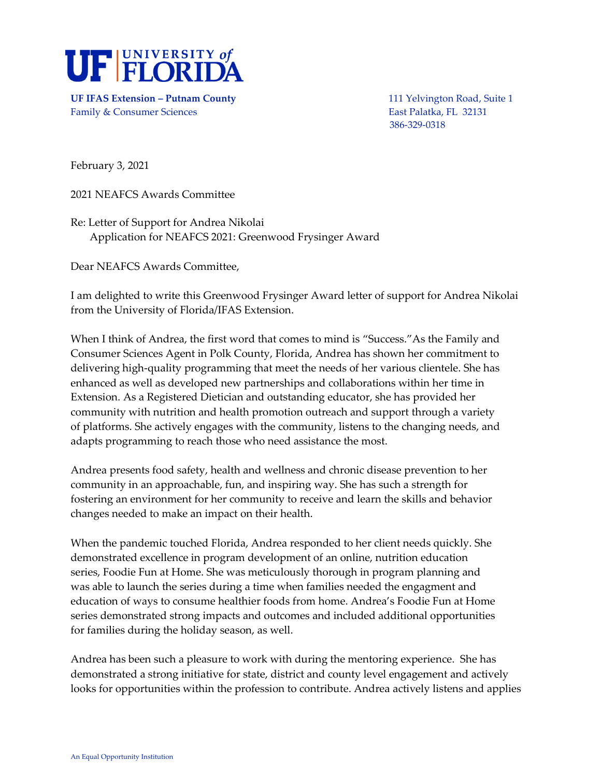

**UF IFAS Extension – Putnam County** 111 Yelvington Road, Suite 1 Family & Consumer Sciences **East Palatka, FL 32131** 

386-329-0318

February 3, 2021

2021 NEAFCS Awards Committee

Re: Letter of Support for Andrea Nikolai Application for NEAFCS 2021: Greenwood Frysinger Award

Dear NEAFCS Awards Committee,

I am delighted to write this Greenwood Frysinger Award letter of support for Andrea Nikolai from the University of Florida/IFAS Extension.

When I think of Andrea, the first word that comes to mind is "Success."As the Family and Consumer Sciences Agent in Polk County, Florida, Andrea has shown her commitment to delivering high-quality programming that meet the needs of her various clientele. She has enhanced as well as developed new partnerships and collaborations within her time in Extension. As a Registered Dietician and outstanding educator, she has provided her community with nutrition and health promotion outreach and support through a variety of platforms. She actively engages with the community, listens to the changing needs, and adapts programming to reach those who need assistance the most.

Andrea presents food safety, health and wellness and chronic disease prevention to her community in an approachable, fun, and inspiring way. She has such a strength for fostering an environment for her community to receive and learn the skills and behavior changes needed to make an impact on their health.

When the pandemic touched Florida, Andrea responded to her client needs quickly. She demonstrated excellence in program development of an online, nutrition education series, Foodie Fun at Home. She was meticulously thorough in program planning and was able to launch the series during a time when families needed the engagment and education of ways to consume healthier foods from home. Andrea's Foodie Fun at Home series demonstrated strong impacts and outcomes and included additional opportunities for families during the holiday season, as well.

Andrea has been such a pleasure to work with during the mentoring experience. She has demonstrated a strong initiative for state, district and county level engagement and actively looks for opportunities within the profession to contribute. Andrea actively listens and applies